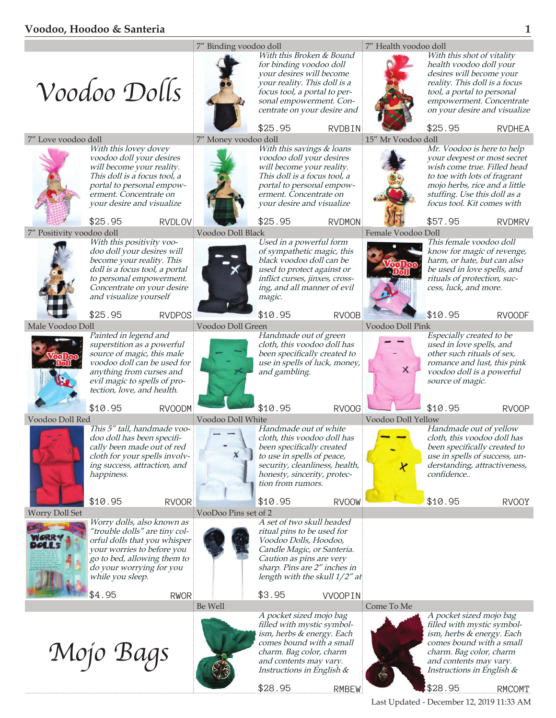## **Voodoo, Hoodoo & Santeria 1**



\$28.95 RMBEW

\$28.95 RMCOMT

Last Updated - December 12, 2019 11:33 AM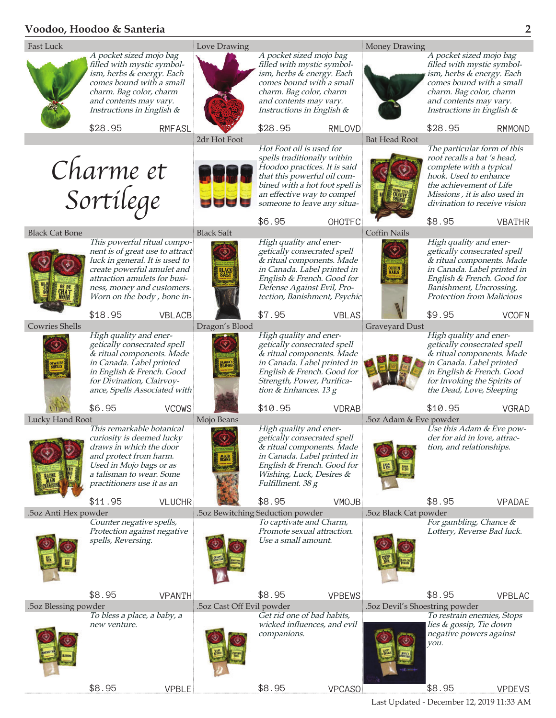## **Voodoo, Hoodoo & Santeria 2**

\$8.95 VPBLE



\$8.95 VPCASO

Last Updated - December 12, 2019 11:33 AM

\$8.95 VPDEVS